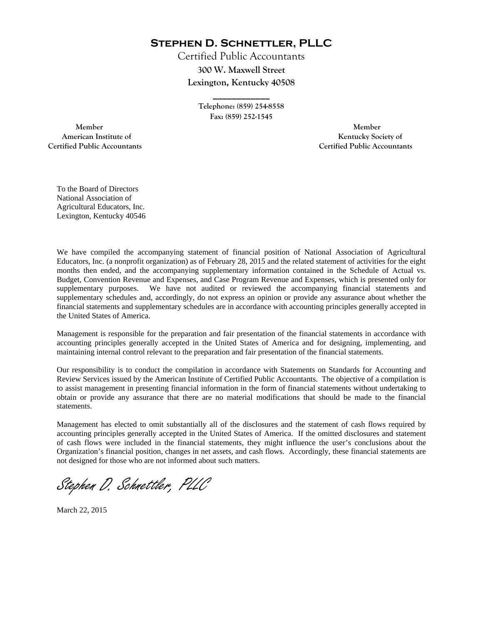**Stephen D. Schnettler, PLLC**

Certified Public Accountants **300 W. Maxwell Street Lexington, Kentucky 40508** 

> **Telephone: (859) 254-8558 Fax: (859) 252-1545**

**\_\_\_\_\_\_\_\_\_\_\_\_** 

 **Member Member Certified Public Accountants Certified Public Accountants** 

American Institute of **Kentucky Society of American Institute of** 

To the Board of Directors National Association of Agricultural Educators, Inc. Lexington, Kentucky 40546

We have compiled the accompanying statement of financial position of National Association of Agricultural Educators, Inc. (a nonprofit organization) as of February 28, 2015 and the related statement of activities for the eight months then ended, and the accompanying supplementary information contained in the Schedule of Actual vs. Budget, Convention Revenue and Expenses, and Case Program Revenue and Expenses, which is presented only for supplementary purposes. We have not audited or reviewed the accompanying financial statements and supplementary schedules and, accordingly, do not express an opinion or provide any assurance about whether the financial statements and supplementary schedules are in accordance with accounting principles generally accepted in the United States of America.

Management is responsible for the preparation and fair presentation of the financial statements in accordance with accounting principles generally accepted in the United States of America and for designing, implementing, and maintaining internal control relevant to the preparation and fair presentation of the financial statements.

Our responsibility is to conduct the compilation in accordance with Statements on Standards for Accounting and Review Services issued by the American Institute of Certified Public Accountants. The objective of a compilation is to assist management in presenting financial information in the form of financial statements without undertaking to obtain or provide any assurance that there are no material modifications that should be made to the financial statements.

Management has elected to omit substantially all of the disclosures and the statement of cash flows required by accounting principles generally accepted in the United States of America. If the omitted disclosures and statement of cash flows were included in the financial statements, they might influence the user's conclusions about the Organization's financial position, changes in net assets, and cash flows. Accordingly, these financial statements are not designed for those who are not informed about such matters.

Stephen D. Schnettler, PLLC

March 22, 2015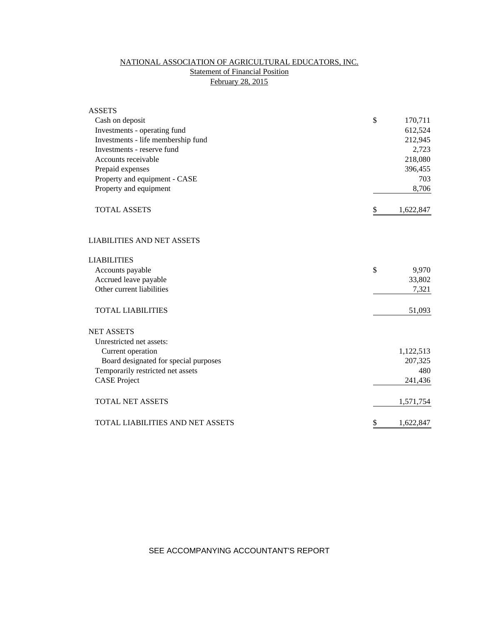# NATIONAL ASSOCIATION OF AGRICULTURAL EDUCATORS, INC. **Statement of Financial Position** February 28, 2015

| <b>ASSETS</b>                         |                 |
|---------------------------------------|-----------------|
| Cash on deposit                       | \$<br>170,711   |
| Investments - operating fund          | 612,524         |
| Investments - life membership fund    | 212,945         |
| Investments - reserve fund            | 2,723           |
| Accounts receivable                   | 218,080         |
| Prepaid expenses                      | 396,455         |
| Property and equipment - CASE         | 703             |
| Property and equipment                | 8,706           |
| <b>TOTAL ASSETS</b>                   | \$<br>1,622,847 |
| <b>LIABILITIES AND NET ASSETS</b>     |                 |
| <b>LIABILITIES</b>                    |                 |
| Accounts payable                      | \$<br>9,970     |
| Accrued leave payable                 | 33,802          |
| Other current liabilities             | 7,321           |
| <b>TOTAL LIABILITIES</b>              | 51,093          |
| <b>NET ASSETS</b>                     |                 |
| Unrestricted net assets:              |                 |
| Current operation                     | 1,122,513       |
| Board designated for special purposes | 207,325         |
| Temporarily restricted net assets     | 480             |
| <b>CASE Project</b>                   | 241,436         |
| <b>TOTAL NET ASSETS</b>               | 1,571,754       |
| TOTAL LIABILITIES AND NET ASSETS      | \$<br>1,622,847 |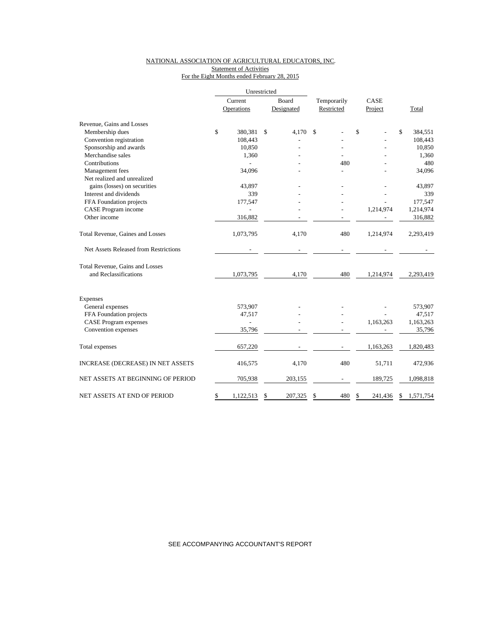## NATIONAL ASSOCIATION OF AGRICULTURAL EDUCATORS, INC. Statement of Activities

For the Eight Months ended February 28, 2015

|                                          |         | Unrestricted |       |            |             |    |           |                 |
|------------------------------------------|---------|--------------|-------|------------|-------------|----|-----------|-----------------|
|                                          | Current |              | Board |            | Temporarily |    | CASE      |                 |
|                                          |         | Operations   |       | Designated | Restricted  |    | Project   | Total           |
| Revenue, Gains and Losses                |         |              |       |            |             |    |           |                 |
| Membership dues                          | \$      | 380,381      | \$    | 4.170      | \$          | \$ |           | \$<br>384,551   |
| Convention registration                  |         | 108,443      |       |            |             |    |           | 108,443         |
| Sponsorship and awards                   |         | 10,850       |       |            |             |    |           | 10,850          |
| Merchandise sales                        |         | 1,360        |       |            |             |    |           | 1,360           |
| Contributions                            |         |              |       |            | 480         |    |           | 480             |
| Management fees                          |         | 34,096       |       |            |             |    |           | 34,096          |
| Net realized and unrealized              |         |              |       |            |             |    |           |                 |
| gains (losses) on securities             |         | 43,897       |       |            |             |    |           | 43,897          |
| Interest and dividends                   |         | 339          |       |            |             |    |           | 339             |
| FFA Foundation projects                  |         | 177,547      |       |            |             |    |           | 177,547         |
| CASE Program income                      |         |              |       |            |             |    | 1,214,974 | 1,214,974       |
| Other income                             |         | 316,882      |       |            |             |    |           | 316,882         |
| Total Revenue, Gaines and Losses         |         | 1,073,795    |       | 4,170      | 480         |    | 1,214,974 | 2,293,419       |
| Net Assets Released from Restrictions    |         |              |       |            |             |    |           |                 |
| <b>Total Revenue, Gains and Losses</b>   |         |              |       |            |             |    |           |                 |
| and Reclassifications                    |         | 1,073,795    |       | 4,170      | 480         |    | 1,214,974 | 2,293,419       |
| Expenses                                 |         |              |       |            |             |    |           |                 |
| General expenses                         |         | 573,907      |       |            |             |    |           | 573,907         |
| FFA Foundation projects                  |         | 47,517       |       |            |             |    |           | 47,517          |
| <b>CASE Program expenses</b>             |         |              |       |            |             |    | 1,163,263 | 1,163,263       |
| Convention expenses                      |         | 35,796       |       |            |             |    |           | 35,796          |
|                                          |         |              |       |            |             |    |           |                 |
| Total expenses                           |         | 657,220      |       |            |             |    | 1,163,263 | 1,820,483       |
| <b>INCREASE (DECREASE) IN NET ASSETS</b> |         | 416,575      |       | 4,170      | 480         |    | 51,711    | 472,936         |
| NET ASSETS AT BEGINNING OF PERIOD        |         | 705,938      |       | 203,155    |             |    | 189,725   | 1,098,818       |
| NET ASSETS AT END OF PERIOD              | \$      | 1,122,513    | \$    | 207,325    | \$<br>480   | \$ | 241,436   | \$<br>1,571,754 |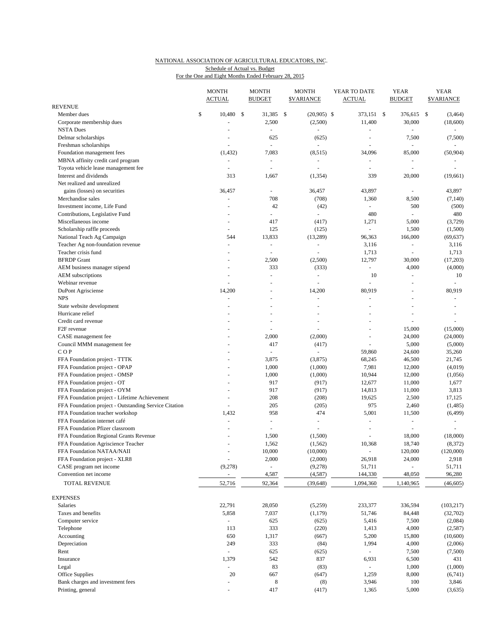## NATIONAL ASSOCIATION OF AGRICULTURAL EDUCATORS, INC.

Schedule of Actual vs. Budget

|                                                               | <b>MONTH</b><br><b>ACTUAL</b> | <b>MONTH</b><br><b>BUDGET</b>     | <b>MONTH</b><br><b><i>SVARIANCE</i></b>    | YEAR TO DATE<br><b>ACTUAL</b>      | <b>YEAR</b><br><b>BUDGET</b>       | <b>YEAR</b><br><b>SVARIANCE</b> |
|---------------------------------------------------------------|-------------------------------|-----------------------------------|--------------------------------------------|------------------------------------|------------------------------------|---------------------------------|
| <b>REVENUE</b>                                                |                               |                                   |                                            |                                    |                                    |                                 |
| Member dues                                                   | \$<br>10,480                  | \$<br>31,385                      | \$<br>$(20,905)$ \$                        | 373,151 \$                         | 376,615 \$                         | (3, 464)                        |
| Corporate membership dues                                     |                               | 2,500                             | (2,500)                                    | 11,400                             | 30,000                             | (18,600)                        |
| <b>NSTA Dues</b>                                              | L.                            | $\blacksquare$                    | $\omega$                                   | ÷,                                 | $\overline{\phantom{a}}$           |                                 |
| Delmar scholarships                                           |                               | 625                               | (625)                                      |                                    | 7,500                              | (7,500)                         |
| Freshman scholarships                                         | ä,                            | ÷,                                | ÷,                                         | $\sim$                             | $\blacksquare$                     |                                 |
| Foundation management fees                                    | (1, 432)                      | 7,083                             | (8, 515)                                   | 34,096<br>$\overline{\phantom{a}}$ | 85,000                             | (50, 904)                       |
| MBNA affinity credit card program                             | $\blacksquare$<br>L.          | $\overline{\phantom{a}}$          | $\overline{\phantom{a}}$<br>$\blacksquare$ | $\overline{\phantom{a}}$           | $\overline{\phantom{a}}$           |                                 |
| Toyota vehicle lease management fee<br>Interest and dividends | 313                           | $\overline{\phantom{a}}$<br>1,667 | (1, 354)                                   | 339                                | $\overline{\phantom{a}}$<br>20,000 | (19,661)                        |
| Net realized and unrealized                                   |                               |                                   |                                            |                                    |                                    |                                 |
| gains (losses) on securities                                  | 36,457                        | $\overline{\phantom{a}}$          | 36,457                                     | 43,897                             | $\overline{\phantom{a}}$           | 43,897                          |
| Merchandise sales                                             | L.                            | 708                               | (708)                                      | 1,360                              | 8,500                              | (7, 140)                        |
| Investment income, Life Fund                                  | $\overline{a}$                | 42                                | (42)                                       | $\Box$                             | 500                                | (500)                           |
| Contributions, Legislative Fund                               |                               | $\overline{\phantom{a}}$          | ÷.                                         | 480                                | $\overline{\phantom{a}}$           | 480                             |
| Miscellaneous income                                          | $\overline{a}$                | 417                               | (417)                                      | 1,271                              | 5,000                              | (3,729)                         |
| Scholarship raffle proceeds                                   | ä,                            | 125                               | (125)                                      | $\overline{\phantom{a}}$           | 1,500                              | (1,500)                         |
| National Teach Ag Campaign                                    | 544                           | 13,833                            | (13,289)                                   | 96,363                             | 166,000                            | (69, 637)                       |
| Teacher Ag non-foundation revenue                             | L.                            | $\overline{\phantom{a}}$          | $\blacksquare$                             | 3,116                              | $\blacksquare$                     | 3,116                           |
| Teacher crisis fund                                           | L.                            | $\overline{\phantom{a}}$          | ÷,                                         | 1,713                              | $\overline{\phantom{a}}$           | 1,713                           |
| <b>BFRDP</b> Grant                                            | L.                            | 2,500                             | (2,500)                                    | 12,797                             | 30,000                             | (17,203)                        |
| AEM business manager stipend                                  |                               | 333                               | (333)                                      | $\Box$                             | 4,000                              | (4,000)                         |
| <b>AEM</b> subscriptions                                      | $\overline{a}$                | L,                                | ä,                                         | 10                                 | $\sim$                             | 10                              |
| Webinar revenue                                               | L.                            | L.                                | ÷,                                         | L.                                 | $\overline{\phantom{a}}$           | $\overline{a}$                  |
| DuPont Agrisciense                                            | 14,200                        | Ē,                                | 14,200                                     | 80,919                             | $\sim$                             | 80,919                          |
| <b>NPS</b>                                                    |                               |                                   | ÷,                                         |                                    |                                    |                                 |
| State website development                                     |                               | ÷,                                | $\overline{a}$                             | $\overline{\phantom{a}}$           |                                    | $\overline{a}$                  |
| Hurricane relief                                              |                               | L.                                |                                            |                                    |                                    | $\blacksquare$                  |
| Credit card revenue                                           |                               | ÷,                                |                                            |                                    | $\sim$                             |                                 |
| F <sub>2F</sub> revenue                                       |                               | L,                                | ÷,                                         | $\overline{\phantom{a}}$           | 15,000                             | (15,000)                        |
| CASE management fee                                           |                               | 2,000                             | (2,000)                                    | ÷,                                 | 24,000                             | (24,000)                        |
| Council MMM management fee                                    |                               | 417                               | (417)                                      | ÷,                                 | 5,000                              | (5,000)                         |
| COP                                                           | $\overline{a}$                | $\overline{\phantom{a}}$          | $\omega$                                   | 59,860                             | 24,600                             | 35,260                          |
| FFA Foundation project - TTTK                                 |                               | 3,875                             | (3,875)                                    | 68,245                             | 46,500                             | 21,745                          |
| FFA Foundation project - OPAP                                 | $\overline{a}$                | 1,000                             | (1,000)                                    | 7,981                              | 12,000                             | (4,019)                         |
| FFA Foundation project - OMSP                                 |                               | 1,000                             | (1,000)                                    | 10,944                             | 12,000                             | (1,056)                         |
| FFA Foundation project - OT                                   | $\overline{a}$                | 917                               | (917)                                      | 12,677                             | 11,000                             | 1,677                           |
| FFA Foundation project - OYM                                  | ÷,                            | 917                               | (917)                                      | 14,813                             | 11,000                             | 3,813                           |
| FFA Foundation project - Lifetime Achievement                 | $\overline{a}$                | 208                               | (208)                                      | 19,625                             | 2,500                              | 17,125                          |
| FFA Foundation project - Outstanding Service Citation         | ÷,                            | 205                               | (205)                                      | 975                                | 2,460                              | (1,485)                         |
| FFA Foundation teacher workshop                               | 1,432                         | 958                               | 474                                        | 5,001                              | 11,500                             | (6, 499)                        |
| FFA Foundation internet café                                  |                               | $\overline{\phantom{a}}$          | $\blacksquare$                             |                                    |                                    |                                 |
| FFA Foundation Pfizer classroom                               | $\overline{a}$                | ÷,                                | $\overline{\phantom{a}}$                   | $\sim$                             | $\sim$                             | $\overline{\phantom{a}}$        |
| FFA Foundation Regional Grants Revenue                        |                               | 1,500                             | (1,500)                                    |                                    | 18,000                             | (18,000)                        |
| FFA Foundation Agriscience Teacher                            |                               | 1,562                             | (1, 562)                                   | 10,368                             | 18,740                             | (8, 372)                        |
| FFA Foundation NATAA/NAII                                     | L.                            | 10,000                            | (10,000)                                   | $\overline{\phantom{a}}$           | 120,000                            | (120,000)                       |
| FFA Foundation project - XLR8                                 |                               | 2,000                             | (2,000)                                    | 26,918                             | 24,000                             | 2,918                           |
| CASE program net income                                       | (9,278)                       |                                   | (9,278)                                    | 51,711                             |                                    | 51,711                          |
| Convention net income                                         | $\overline{\phantom{a}}$      | 4,587                             | (4, 587)                                   | 144,330                            | 48,050                             | 96,280                          |
| TOTAL REVENUE                                                 | 52,716                        | 92,364                            | (39, 648)                                  | 1,094,360                          | 1,140,965                          | (46, 605)                       |
|                                                               |                               |                                   |                                            |                                    |                                    |                                 |
| EXPENSES                                                      |                               |                                   |                                            |                                    |                                    |                                 |
| Salaries                                                      | 22,791                        | 28,050                            | (5,259)                                    | 233,377                            | 336,594                            | (103, 217)                      |
| Taxes and benefits                                            | 5,858                         | 7,037                             | (1,179)                                    | 51,746                             | 84,448                             | (32,702)                        |
| Computer service                                              |                               | 625                               | (625)                                      | 5,416                              | 7,500                              | (2,084)                         |
| Telephone                                                     | 113                           | 333                               | (220)                                      | 1,413                              | 4,000                              | (2,587)                         |
| Accounting                                                    | 650                           | 1,317                             | (667)                                      | 5,200                              | 15,800                             | (10,600)                        |
| Depreciation                                                  | 249                           | 333                               | (84)                                       | 1,994                              | 4,000                              | (2,006)                         |
| Rent                                                          | $\blacksquare$                | 625                               | (625)                                      | $\blacksquare$                     | 7,500                              | (7,500)                         |
| Insurance                                                     | 1,379                         | 542                               | 837                                        | 6,931                              | 6,500                              | 431                             |
| Legal                                                         | $\overline{a}$                | 83                                | (83)                                       | $\Box$                             | 1,000                              | (1,000)                         |
| Office Supplies                                               | 20                            | 667                               | (647)                                      | 1,259                              | 8,000                              | (6,741)                         |
| Bank charges and investment fees                              |                               | 8                                 | (8)                                        | 3,946                              | 100                                | 3,846                           |
| Printing, general                                             | $\overline{a}$                | 417                               | (417)                                      | 1,365                              | 5,000                              | (3,635)                         |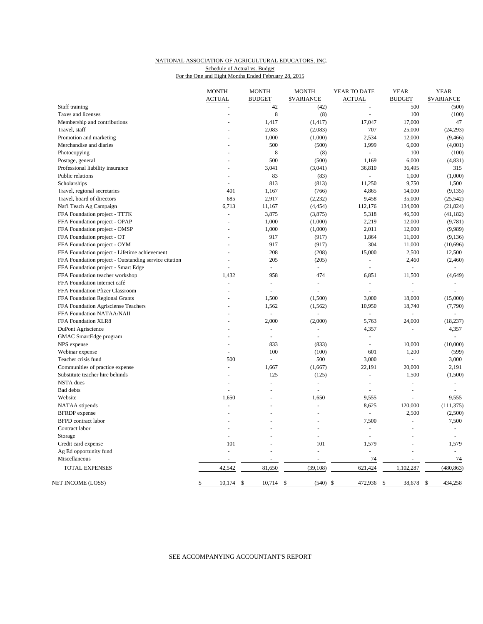#### NATIONAL ASSOCIATION OF AGRICULTURAL EDUCATORS, INC.

Schedule of Actual vs. Budget

| For the One and Eight Months Ended February 28, 2015 |  |
|------------------------------------------------------|--|
|                                                      |  |

|                                                       | <b>MONTH</b><br><b>ACTUAL</b> | <b>MONTH</b><br><b>BUDGET</b> | <b>MONTH</b><br><b><i>SVARIANCE</i></b> | YEAR TO DATE<br><b>ACTUAL</b> | <b>YEAR</b><br><b>BUDGET</b> | <b>YEAR</b><br><b>SVARIANCE</b> |
|-------------------------------------------------------|-------------------------------|-------------------------------|-----------------------------------------|-------------------------------|------------------------------|---------------------------------|
| Staff training                                        |                               | 42                            | (42)                                    |                               | 500                          | (500)                           |
| Taxes and licenses                                    |                               | 8                             | (8)                                     | $\overline{\phantom{a}}$      | 100                          | (100)                           |
| Membership and contributions                          |                               | 1,417                         | (1, 417)                                | 17,047                        | 17,000                       | 47                              |
| Travel, staff                                         |                               | 2,083                         | (2,083)                                 | 707                           | 25,000                       | (24, 293)                       |
| Promotion and marketing                               |                               | 1,000                         | (1,000)                                 | 2,534                         | 12,000                       | (9, 466)                        |
| Merchandise and diaries                               |                               | 500                           | (500)                                   | 1,999                         | 6,000                        | (4,001)                         |
| Photocopying                                          |                               | 8                             | (8)                                     |                               | 100                          | (100)                           |
| Postage, general                                      |                               | 500                           | (500)                                   | 1,169                         | 6,000                        | (4, 831)                        |
| Professional liability insurance                      |                               | 3,041                         | (3,041)                                 | 36,810                        | 36,495                       | 315                             |
| Public relations                                      |                               | 83                            | (83)                                    | $\mathbf{r}$                  | 1,000                        | (1,000)                         |
| Scholarships                                          |                               | 813                           | (813)                                   | 11,250                        | 9,750                        | 1,500                           |
| Travel, regional secretaries                          | 401                           | 1,167                         | (766)                                   | 4,865                         | 14,000                       | (9, 135)                        |
|                                                       | 685                           | 2,917                         |                                         | 9,458                         | 35,000                       |                                 |
| Travel, board of directors                            |                               |                               | (2, 232)                                |                               |                              | (25, 542)                       |
| Nat'l Teach Ag Campaign                               | 6,713                         | 11,167                        | (4, 454)                                | 112,176                       | 134,000                      | (21, 824)                       |
| FFA Foundation project - TTTK                         |                               | 3,875                         | (3,875)                                 | 5,318                         | 46,500                       | (41, 182)                       |
| FFA Foundation project - OPAP                         | $\overline{a}$                | 1,000                         | (1,000)                                 | 2,219                         | 12,000                       | (9,781)                         |
| FFA Foundation project - OMSP                         |                               | 1,000                         | (1,000)                                 | 2,011                         | 12,000                       | (9,989)                         |
| FFA Foundation project - OT                           |                               | 917                           | (917)                                   | 1,864                         | 11,000                       | (9,136)                         |
| FFA Foundation project - OYM                          |                               | 917                           | (917)                                   | 304                           | 11,000                       | (10,696)                        |
| FFA Foundation project - Lifetime achievement         |                               | 208                           | (208)                                   | 15,000                        | 2,500                        | 12,500                          |
| FFA Foundation project - Outstanding service citation |                               | 205                           | (205)                                   | $\Box$                        | 2,460                        | (2,460)                         |
| FFA Foundation project - Smart Edge                   |                               | ÷,                            | ÷,                                      |                               |                              |                                 |
| FFA Foundation teacher workshop                       | 1,432                         | 958                           | 474                                     | 6,851                         | 11,500                       | (4,649)                         |
| FFA Foundation internet café                          | L.                            | $\bar{\phantom{a}}$           | $\overline{a}$                          | $\omega$                      | $\overline{a}$               |                                 |
| FFA Foundation Pfizer Classroom                       |                               | ÷,                            | $\overline{a}$                          |                               | ÷,                           |                                 |
| FFA Foundation Regional Grants                        |                               | 1,500                         | (1,500)                                 | 3,000                         | 18,000                       | (15,000)                        |
| FFA Foundation Agrisciense Teachers                   |                               | 1,562                         | (1, 562)                                | 10,950                        | 18,740                       | (7,790)                         |
| FFA Foundation NATAA/NAII                             |                               | $\overline{a}$                | ä,                                      | $\overline{\phantom{a}}$      | $\overline{a}$               |                                 |
| FFA Foundation XLR8                                   |                               | 2,000                         | (2,000)                                 | 5,763                         | 24,000                       | (18, 237)                       |
| DuPont Agriscience                                    |                               | ÷,                            | ÷,                                      | 4,357                         | $\overline{\phantom{a}}$     | 4,357                           |
| <b>GMAC</b> SmartEdge program                         |                               | $\sim$                        | $\overline{\phantom{a}}$                | $\omega$                      |                              | $\overline{a}$                  |
| NPS expense                                           |                               | 833                           | (833)                                   | $\overline{\phantom{a}}$      | 10,000                       | (10,000)                        |
| Webinar expense                                       |                               | 100                           | (100)                                   | 601                           | 1,200                        | (599)                           |
| Teacher crisis fund                                   | 500                           | $\overline{a}$                | 500                                     | 3,000                         |                              | 3,000                           |
| Communities of practice expense                       |                               | 1,667                         | (1,667)                                 | 22,191                        | 20,000                       | 2,191                           |
| Substitute teacher hire behinds                       |                               | 125                           | (125)                                   | $\sim$                        | 1,500                        | (1,500)                         |
| NSTA dues                                             | $\overline{a}$                | $\overline{a}$                | $\overline{a}$                          | $\overline{a}$                | ÷.                           | $\overline{a}$                  |
| <b>Bad</b> debts                                      |                               |                               | $\overline{a}$                          |                               | ÷.                           |                                 |
| Website                                               | 1,650                         |                               | 1,650                                   | 9,555                         | L,                           | 9,555                           |
| NATAA stipends                                        |                               |                               | $\overline{a}$                          | 8,625                         | 120,000                      | (111, 375)                      |
| <b>BFRDP</b> expense                                  |                               |                               |                                         |                               | 2,500                        | (2,500)                         |
| <b>BFPD</b> contract labor                            |                               |                               |                                         | 7,500                         | ÷,                           | 7,500                           |
| Contract labor                                        |                               |                               | $\overline{a}$                          | ä,                            | ÷.                           | $\blacksquare$                  |
| Storage                                               | $\overline{a}$                |                               | $\overline{a}$                          |                               |                              | $\overline{a}$                  |
| Credit card expense                                   | 101                           |                               | 101                                     | 1,579                         |                              | 1,579                           |
| Ag Ed opportunity fund                                | $\sim$                        | L.                            | $\overline{a}$                          | $\overline{a}$                | L.                           | $\overline{a}$                  |
| Miscellaneous                                         |                               | $\overline{\phantom{a}}$      | ÷,                                      | 74                            | ÷                            | 74                              |
| <b>TOTAL EXPENSES</b>                                 | 42,542                        | 81,650                        | (39, 108)                               | 621,424                       | 1,102,287                    | (480, 863)                      |
| <b>NET INCOME (LOSS)</b>                              | \$<br>10,174                  | \$<br>10,714                  | \$<br>$(540)$ \$                        | 472,936                       | \$<br>38,678                 | \$<br>434,258                   |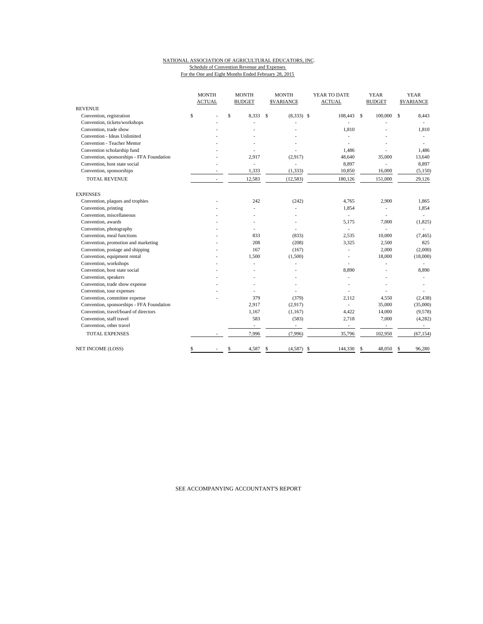### NATIONAL ASSOCIATION OF AGRICULTURAL EDUCATORS, INC.

Schedule of Convention Revenue and Expenses For the One and Eight Months Ended February 28, 2015

|                                           | <b>MONTH</b><br><b>ACTUAL</b> | <b>MONTH</b><br><b>BUDGET</b> | <b>MONTH</b><br><b>\$VARIANCE</b> | YEAR TO DATE<br><b>ACTUAL</b> | <b>YEAR</b><br><b>BUDGET</b> | <b>YEAR</b><br><b>\$VARIANCE</b> |
|-------------------------------------------|-------------------------------|-------------------------------|-----------------------------------|-------------------------------|------------------------------|----------------------------------|
| <b>REVENUE</b>                            |                               |                               |                                   |                               |                              |                                  |
| Convention, registration                  | \$                            | \$<br>8,333                   | \$<br>$(8,333)$ \$                | 108,443 \$                    | 100,000                      | 8,443<br>\$                      |
| Convention, tickets/workshops             |                               |                               |                                   |                               |                              |                                  |
| Convention, trade show                    |                               |                               |                                   | 1,810                         |                              | 1,810                            |
| Convention - Ideas Unlimited              |                               |                               |                                   |                               |                              |                                  |
| <b>Convention - Teacher Mentor</b>        |                               |                               |                                   |                               |                              |                                  |
| Convention scholarship fund               |                               |                               |                                   | 1,486                         |                              | 1,486                            |
| Convention, sponsorships - FFA Foundation |                               | 2.917                         | (2,917)                           | 48,640                        | 35,000                       | 13,640                           |
| Convention, host state social             |                               | $\overline{\phantom{a}}$      |                                   | 8,897                         |                              | 8,897                            |
| Convention, sponsorships                  |                               | 1,333                         | (1, 333)                          | 10,850                        | 16,000                       | (5,150)                          |
| <b>TOTAL REVENUE</b>                      |                               | 12,583                        | (12, 583)                         | 180,126                       | 151,000                      | 29,126                           |
| <b>EXPENSES</b>                           |                               |                               |                                   |                               |                              |                                  |
| Convention, plaques and trophies          |                               | 242                           | (242)                             | 4,765                         | 2,900                        | 1,865                            |
| Convention, printing                      |                               |                               |                                   | 1,854                         | $\overline{\phantom{a}}$     | 1,854                            |
| Convention, miscellaneous                 |                               |                               |                                   | $\overline{\phantom{a}}$      |                              |                                  |
| Convention, awards                        |                               |                               |                                   | 5,175                         | 7,000                        | (1,825)                          |
| Convention, photography                   |                               |                               |                                   | $\overline{\phantom{a}}$      |                              |                                  |
| Convention, meal functions                |                               | 833                           | (833)                             | 2,535                         | 10,000                       | (7, 465)                         |
| Convention, promotion and marketing       |                               | 208                           | (208)                             | 3,325                         | 2,500                        | 825                              |
| Convention, postage and shipping          |                               | 167                           | (167)                             | ä,                            | 2,000                        | (2,000)                          |
| Convention, equipment rental              |                               | 1,500                         | (1,500)                           |                               | 18,000                       | (18,000)                         |
| Convention, workshops                     |                               | $\overline{a}$                |                                   |                               |                              |                                  |
| Convention, host state social             |                               | ÷                             |                                   | 8,890                         |                              | 8,890                            |
| Convention, speakers                      |                               |                               |                                   | ÷.                            |                              |                                  |
| Convention, trade show expense            |                               |                               |                                   |                               |                              |                                  |
| Convention, tour expenses                 |                               |                               |                                   |                               |                              |                                  |
| Convention, committee expense             |                               | 379                           | (379)                             | 2,112                         | 4,550                        | (2, 438)                         |
| Convention, sponsorships - FFA Foundation |                               | 2,917                         | (2,917)                           | ä,                            | 35,000                       | (35,000)                         |
| Convention, travel/board of directors     |                               | 1,167                         | (1, 167)                          | 4,422                         | 14,000                       | (9,578)                          |
| Convention, staff travel                  |                               | 583                           | (583)                             | 2,718                         | 7,000                        | (4, 282)                         |
| Convention, other travel                  |                               | $\frac{1}{2}$                 | ÷,                                | ÷,                            |                              | $\sim$                           |
| <b>TOTAL EXPENSES</b>                     |                               | 7,996                         | (7,996)                           | 35,796                        | 102,950                      | (67, 154)                        |
| <b>NET INCOME (LOSS)</b>                  | \$                            | \$<br>4,587                   | \$<br>$(4,587)$ \$                | 144,330                       | 48,050<br>-\$                | 96,280<br>\$                     |